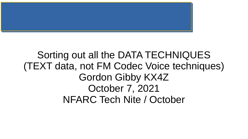

### Sorting out all the DATA TECHNIQUES (TEXT data, not FM Codec Voice techniques) Gordon Gibby KX4Z October 7, 2021 NFARC Tech Nite / October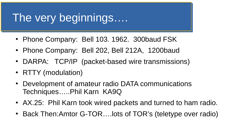### The very beginnings….

- Phone Company: Bell 103. 1962. 300baud FSK
- Phone Company: Bell 202, Bell 212A, 1200baud
- DARPA: TCP/IP (packet-based wire transmissions)
- RTTY (modulation)
- Development of amateur radio DATA communications Techniques…..Phil Karn KA9Q
- AX.25: Phil Karn took wired packets and turned to ham radio.
- Back Then:Amtor G-TOR....lots of TOR's (teletype over radio)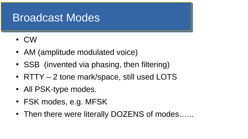### Broadcast Modes

- CW
- AM (amplitude modulated voice)
- SSB (invented via phasing, then filtering)
- RTTY 2 tone mark/space, still used LOTS
- All PSK-type modes.
- FSK modes, e.g. MFSK
- Then there were literally DOZENS of modes......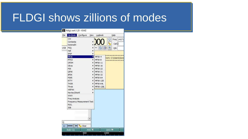### FLDGI shows zillions of modes

#### fldigi ver4.1.20 - KX4Z

| File                        | Op Mode                           | Configure | View | Logbook         |                  | Help               |  |
|-----------------------------|-----------------------------------|-----------|------|-----------------|------------------|--------------------|--|
|                             | <b>CW</b>                         |           |      |                 | G                | Freq 14071         |  |
|                             | Contestia                         |           |      |                 |                  | Call               |  |
|                             | DominoEX                          |           |      |                 |                  |                    |  |
| <b>USB</b>                  | <b>FSO</b>                        |           |      | S               |                  | Qth                |  |
|                             | Hell                              |           |      |                 |                  |                    |  |
|                             | <b>IFKP</b>                       |           |      |                 |                  | <b>========</b>    |  |
|                             | <b>MFSK</b>                       |           | K    | MFSK-4          |                  | rom: C:\Users\Gord |  |
|                             | MT63                              |           |      | MFSK-8          |                  |                    |  |
|                             | <b>OFDM</b>                       |           |      | MFSK-11         |                  |                    |  |
|                             | Olivia                            |           |      | MFSK-16         |                  |                    |  |
|                             | <b>PSK</b>                        |           |      | MFSK-22         |                  |                    |  |
|                             | <b>OPSK</b>                       |           |      | MFSK-31         |                  |                    |  |
|                             | 8PSK                              |           |      | MFSK-32         |                  |                    |  |
|                             | <b>PSKR</b>                       |           |      | MFSK-64         |                  |                    |  |
|                             | <b>RTTY</b>                       |           |      | <b>MFSK-128</b> |                  |                    |  |
|                             | <b>THOR</b>                       |           |      | MFSK-64L        |                  |                    |  |
|                             | Throb                             |           |      | MFSK-128L       |                  |                    |  |
|                             | WEFAX                             |           |      |                 |                  |                    |  |
|                             | Navtex/SitorB                     |           |      |                 |                  |                    |  |
|                             | <b>WWV</b>                        |           |      |                 |                  |                    |  |
|                             | <b>Freq Analysis</b>              |           |      |                 |                  |                    |  |
|                             | <b>Frequency Measurement Test</b> |           |      |                 |                  |                    |  |
|                             | <b>NULL</b>                       |           |      |                 |                  |                    |  |
|                             | <b>SSB</b>                        |           |      |                 |                  |                    |  |
|                             |                                   |           |      |                 |                  |                    |  |
|                             |                                   |           | ۷    |                 |                  |                    |  |
| CQ                          |                                   |           |      |                 |                  |                    |  |
| 3.0                         |                                   | Clear     |      |                 |                  |                    |  |
| ANS <sub>N</sub><br>RsID CQ |                                   |           |      |                 | QSO <sup>N</sup> |                    |  |
|                             |                                   | 500       |      |                 | 1000             |                    |  |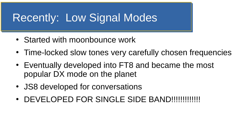## Recently: Low Signal Modes

- Started with moonbounce work
- Time-locked slow tones very carefully chosen frequencies
- Eventually developed into FT8 and became the most popular DX mode on the planet
- JS8 developed for conversations
- DEVELOPED FOR SINGLE SIDE BAND!!!!!!!!!!!!!!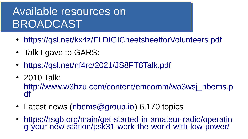# Available resources on BROADCAST

- <https://qsl.net/kx4z/FLDIGICheetsheetforVolunteers.pdf>
- Talk I gave to GARS:
- <https://qsl.net/nf4rc/2021/JS8FT8Talk.pdf>
- 2010 Talk:

[http://www.w3hzu.com/content/emcomm/wa3wsj\\_nbems.p](http://www.w3hzu.com/content/emcomm/wa3wsj_nbems.pdf) [df](http://www.w3hzu.com/content/emcomm/wa3wsj_nbems.pdf)

- Latest news ([nbems@group.io](mailto:nbems@group.io)) 6,170 topics
- [https://rsgb.org/main/get-started-in-amateur-radio/operatin](https://rsgb.org/main/get-started-in-amateur-radio/operating-your-new-station/psk31-work-the-world-with-low-power/) [g-your-new-station/psk31-work-the-world-with-low-power/](https://rsgb.org/main/get-started-in-amateur-radio/operating-your-new-station/psk31-work-the-world-with-low-power/)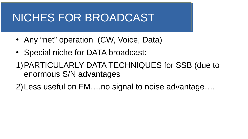### NICHES FOR BROADCAST

- Any "net" operation (CW, Voice, Data)
- Special niche for DATA broadcast:
- 1)PARTICULARLY DATA TECHNIQUES for SSB (due to enormous S/N advantages
- 2)Less useful on FM….no signal to noise advantage….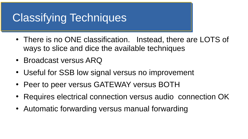# Classifying Techniques

- There is no ONE classification. Instead, there are LOTS of ways to slice and dice the available techniques
- Broadcast versus ARQ
- Useful for SSB low signal versus no improvement
- Peer to peer versus GATEWAY versus BOTH
- Requires electrical connection versus audio connection OK
- Automatic forwarding versus manual forwarding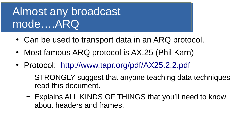# Almost any broadcast mode….ARQ

- Can be used to transport data in an ARQ protocol.
- Most famous ARQ protocol is AX.25 (Phil Karn)
- Protocol: <http://www.tapr.org/pdf/AX25.2.2.pdf>
	- STRONGLY suggest that anyone teaching data techniques read this document.
	- Explains ALL KINDS OF THINGS that you'll need to know about headers and frames.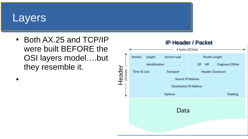### **Layers**

●

• Both AX.25 and TCP/IP were built BEFORE the OSI layers model….but they resemble it.

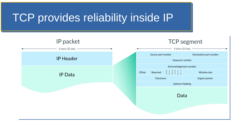## TCP provides reliability inside IP

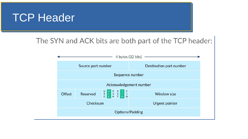

### The SYN and ACK bits are both part of the TCP header:

|                        |                    |                                           | 4 bytes $(32 \text{ bits})$ – |  |  |  |  |
|------------------------|--------------------|-------------------------------------------|-------------------------------|--|--|--|--|
|                        | Source port number |                                           | Destination port number       |  |  |  |  |
| Sequence number        |                    |                                           |                               |  |  |  |  |
| Acknowledgement number |                    |                                           |                               |  |  |  |  |
| Offset                 | Reserved           | U A P R S F<br>R C S S Y I<br>G K H T N N | <b>Window size</b>            |  |  |  |  |
|                        | Checksum           |                                           | Urgent pointer                |  |  |  |  |
| Options/Padding        |                    |                                           |                               |  |  |  |  |
|                        |                    |                                           |                               |  |  |  |  |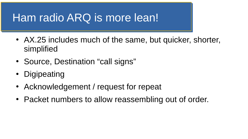### Ham radio ARQ is more lean!

- AX.25 includes much of the same, but quicker, shorter, simplified
- Source, Destination "call signs"
- Digipeating
- Acknowledgement / request for repeat
- Packet numbers to allow reassembling out of order.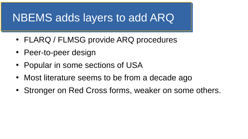### NBEMS adds layers to add ARQ

- FLARQ / FLMSG provide ARQ procedures
- Peer-to-peer design
- Popular in some sections of USA
- Most literature seems to be from a decade ago
- Stronger on Red Cross forms, weaker on some others.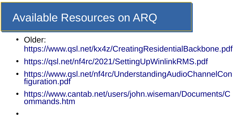### Available Resources on ARQ

- Older:
	- <https://www.qsl.net/kx4z/CreatingResidentialBackbone.pdf>
- <https://qsl.net/nf4rc/2021/SettingUpWinlinkRMS.pdf>
- [https://www.qsl.net/nf4rc/UnderstandingAudioChannelCon](https://www.qsl.net/nf4rc/UnderstandingAudioChannelConfiguration.pdf) [figuration.pdf](https://www.qsl.net/nf4rc/UnderstandingAudioChannelConfiguration.pdf)
- [https://www.cantab.net/users/john.wiseman/Documents/C](https://www.cantab.net/users/john.wiseman/Documents/Commands.htm) [ommands.htm](https://www.cantab.net/users/john.wiseman/Documents/Commands.htm)
- ●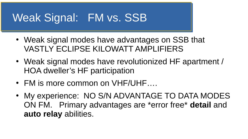### Weak Signal: FM vs. SSB

- Weak signal modes have advantages on SSB that VASTLY ECLIPSE KILOWATT AMPLIFIERS
- Weak signal modes have revolutionized HF apartment / HOA dweller's HF participation
- FM is more common on VHF/UHF....
- My experience: NO S/N ADVANTAGE TO DATA MODES ON FM. Primary advantages are \*error free\* **detail** and **auto relay** abilities.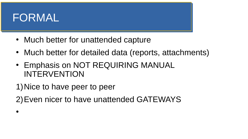### FORMAL

●

- Much better for unattended capture
- Much better for detailed data (reports, attachments)
- Emphasis on NOT REQUIRING MANUAL INTERVENTION

1)Nice to have peer to peer

2)Even nicer to have unattended GATEWAYS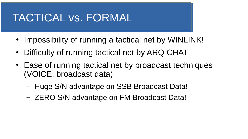### TACTICAL vs. FORMAL

- Impossibility of running a tactical net by WINLINK!
- Difficulty of running tactical net by ARQ CHAT
- Ease of running tactical net by broadcast techniques (VOICE, broadcast data)
	- Huge S/N advantage on SSB Broadcast Data!
	- ZERO S/N advantage on FM Broadcast Data!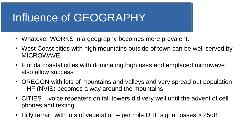## Influence of GEOGRAPHY

- Whatever WORKS in a geography becomes more prevalent.
- West Coast cities with high mountains outside of town can be well served by MICROWAVE.
- Florida coastal cities with dominating high rises and emplaced microwave also allow success
- OREGON with lots of mountains and valleys and very spread out population – HF (NVIS) becomes a way around the mountains.
- CITIES voice repeaters on tall towers did very well until the advent of cell phones and texting
- Hilly terrain with lots of vegetation per mile UHF signal losses > 25dB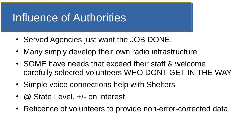## Influence of Authorities

- Served Agencies just want the JOB DONE.
- Many simply develop their own radio infrastructure
- SOME have needs that exceed their staff & welcome carefully selected volunteers WHO DONT GET IN THE WAY
- Simple voice connections help with Shelters
- $@$  State Level,  $+/-$  on interest
- Reticence of volunteers to provide non-error-corrected data.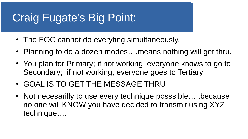# Craig Fugate's Big Point:

- The EOC cannot do everyting simultaneously.
- Planning to do a dozen modes....means nothing will get thru.
- You plan for Primary; if not working, everyone knows to go to Secondary; if not working, everyone goes to Tertiary
- GOAL IS TO GET THE MESSAGE THRU
- Not necesarilly to use every technique posssible....because no one will KNOW you have decided to transmit using XYZ technique….